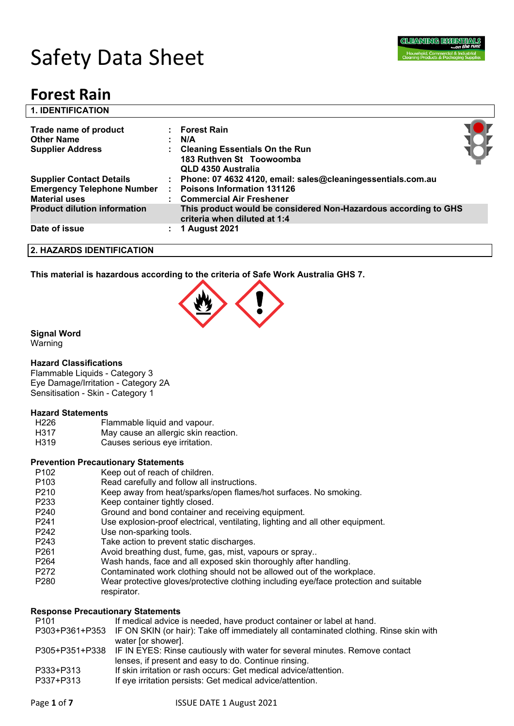

# Safety Data Sheet

# **Forest Rain**

| <b>1. IDENTIFICATION</b>                                                                     |                                                                                                                                  |  |
|----------------------------------------------------------------------------------------------|----------------------------------------------------------------------------------------------------------------------------------|--|
| Trade name of product<br><b>Other Name</b><br><b>Supplier Address</b>                        | : Forest Rain<br>N/A<br>: Cleaning Essentials On the Run<br>183 Ruthven St Toowoomba<br>QLD 4350 Australia                       |  |
| <b>Supplier Contact Details</b><br><b>Emergency Telephone Number</b><br><b>Material uses</b> | : Phone: 07 4632 4120, email: sales@cleaningessentials.com.au<br><b>Poisons Information 131126</b><br>: Commercial Air Freshener |  |
| <b>Product dilution information</b>                                                          | This product would be considered Non-Hazardous according to GHS<br>criteria when diluted at 1:4                                  |  |
| Date of issue                                                                                | <b>1 August 2021</b>                                                                                                             |  |
| 2. HAZARDS IDENTIFICATION                                                                    |                                                                                                                                  |  |

**This material is hazardous according to the criteria of Safe Work Australia GHS 7.**



#### **Signal Word**

Warning

#### **Hazard Classifications**

Flammable Liquids - Category 3 Eye Damage/Irritation - Category 2A Sensitisation - Skin - Category 1

#### **Hazard Statements**

| H226 | Flammable liquid and vapour.         |
|------|--------------------------------------|
| H317 | May cause an allergic skin reaction. |
|      |                                      |

H319 Causes serious eye irritation.

#### **Prevention Precautionary Statements**

- P102 Keep out of reach of children.
- P103 Read carefully and follow all instructions.
- P210 Keep away from heat/sparks/open flames/hot surfaces. No smoking.
- P233 Keep container tightly closed.
- P240 Ground and bond container and receiving equipment.
- P241 Use explosion-proof electrical, ventilating, lighting and all other equipment.
- P242 Use non-sparking tools.
- P243 Take action to prevent static discharges.
- P261 Avoid breathing dust, fume, gas, mist, vapours or spray..
- P264 Wash hands, face and all exposed skin thoroughly after handling.
- P272 Contaminated work clothing should not be allowed out of the workplace.
- P280 Wear protective gloves/protective clothing including eye/face protection and suitable respirator.

#### **Response Precautionary Statements**

- P101 If medical advice is needed, have product container or label at hand. P303+P361+P353 IF ON SKIN (or hair): Take off immediately all contaminated clothing. Rinse skin with water [or shower]. P305+P351+P338 IF IN EYES: Rinse cautiously with water for several minutes. Remove contact lenses, if present and easy to do. Continue rinsing. P333+P313 If skin irritation or rash occurs: Get medical advice/attention.
- P337+P313 If eye irritation persists: Get medical advice/attention.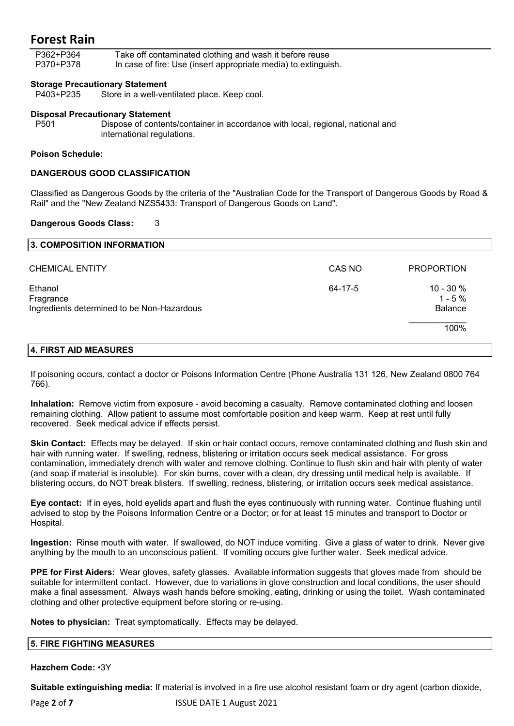P362+P364 Take off contaminated clothing and wash it before reuse P370+P378 In case of fire: Use (insert appropriate media) to extinguish.

#### **Storage Precautionary Statement**

P403+P235 Store in a well-ventilated place. Keep cool.

#### **Disposal Precautionary Statement**

P501 Dispose of contents/container in accordance with local, regional, national and international regulations.

#### **Poison Schedule:**

#### **DANGEROUS GOOD CLASSIFICATION**

Classified as Dangerous Goods by the criteria of the "Australian Code for the Transport of Dangerous Goods by Road & Rail" and the "New Zealand NZS5433: Transport of Dangerous Goods on Land".

#### **Dangerous Goods Class:** 3

| 3. COMPOSITION INFORMATION                                         |         |                                            |
|--------------------------------------------------------------------|---------|--------------------------------------------|
| <b>CHEMICAL ENTITY</b>                                             | CAS NO  | <b>PROPORTION</b>                          |
| Ethanol<br>Fragrance<br>Ingredients determined to be Non-Hazardous | 64-17-5 | $10 - 30 \%$<br>$1 - 5%$<br><b>Balance</b> |
|                                                                    |         | 100%                                       |
| 4. FIRST AID MEASURES                                              |         |                                            |

If poisoning occurs, contact a doctor or Poisons Information Centre (Phone Australia 131 126, New Zealand 0800 764 766).

**Inhalation:** Remove victim from exposure - avoid becoming a casualty. Remove contaminated clothing and loosen remaining clothing. Allow patient to assume most comfortable position and keep warm. Keep at rest until fully recovered. Seek medical advice if effects persist.

**Skin Contact:** Effects may be delayed. If skin or hair contact occurs, remove contaminated clothing and flush skin and hair with running water. If swelling, redness, blistering or irritation occurs seek medical assistance. For gross contamination, immediately drench with water and remove clothing. Continue to flush skin and hair with plenty of water (and soap if material is insoluble). For skin burns, cover with a clean, dry dressing until medical help is available. If blistering occurs, do NOT break blisters. If swelling, redness, blistering, or irritation occurs seek medical assistance.

**Eye contact:** If in eyes, hold eyelids apart and flush the eyes continuously with running water. Continue flushing until advised to stop by the Poisons Information Centre or a Doctor; or for at least 15 minutes and transport to Doctor or Hospital.

**Ingestion:** Rinse mouth with water. If swallowed, do NOT induce vomiting. Give a glass of water to drink. Never give anything by the mouth to an unconscious patient. If vomiting occurs give further water. Seek medical advice.

**PPE for First Aiders:** Wear gloves, safety glasses. Available information suggests that gloves made from should be suitable for intermittent contact. However, due to variations in glove construction and local conditions, the user should make a final assessment. Always wash hands before smoking, eating, drinking or using the toilet. Wash contaminated clothing and other protective equipment before storing or re-using.

**Notes to physician:** Treat symptomatically. Effects may be delayed.

#### **5. FIRE FIGHTING MEASURES**

**Hazchem Code:** •3Y

**Suitable extinguishing media:** If material is involved in a fire use alcohol resistant foam or dry agent (carbon dioxide,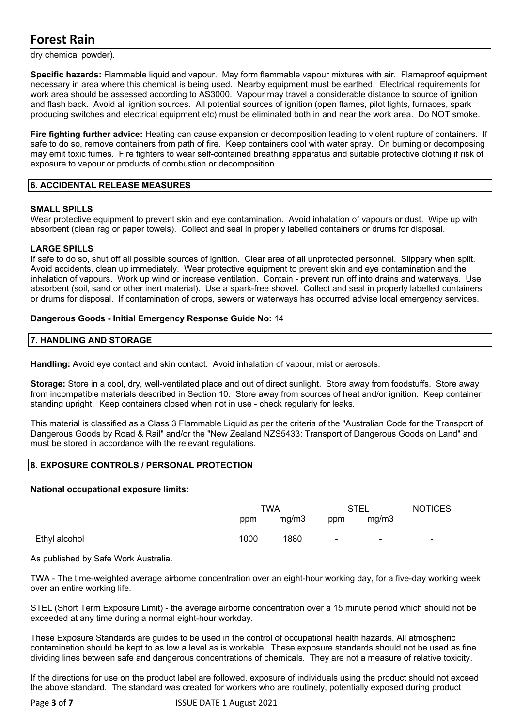dry chemical powder).

**Specific hazards:** Flammable liquid and vapour. May form flammable vapour mixtures with air. Flameproof equipment necessary in area where this chemical is being used. Nearby equipment must be earthed. Electrical requirements for work area should be assessed according to AS3000. Vapour may travel a considerable distance to source of ignition and flash back. Avoid all ignition sources. All potential sources of ignition (open flames, pilot lights, furnaces, spark producing switches and electrical equipment etc) must be eliminated both in and near the work area. Do NOT smoke.

**Fire fighting further advice:** Heating can cause expansion or decomposition leading to violent rupture of containers. If safe to do so, remove containers from path of fire. Keep containers cool with water spray. On burning or decomposing may emit toxic fumes. Fire fighters to wear self-contained breathing apparatus and suitable protective clothing if risk of exposure to vapour or products of combustion or decomposition.

#### **6. ACCIDENTAL RELEASE MEASURES**

#### **SMALL SPILLS**

Wear protective equipment to prevent skin and eye contamination. Avoid inhalation of vapours or dust. Wipe up with absorbent (clean rag or paper towels). Collect and seal in properly labelled containers or drums for disposal.

#### **LARGE SPILLS**

If safe to do so, shut off all possible sources of ignition. Clear area of all unprotected personnel. Slippery when spilt. Avoid accidents, clean up immediately. Wear protective equipment to prevent skin and eye contamination and the inhalation of vapours. Work up wind or increase ventilation. Contain - prevent run off into drains and waterways. Use absorbent (soil, sand or other inert material). Use a spark-free shovel. Collect and seal in properly labelled containers or drums for disposal. If contamination of crops, sewers or waterways has occurred advise local emergency services.

#### **Dangerous Goods - Initial Emergency Response Guide No:** 14

#### **7. HANDLING AND STORAGE**

**Handling:** Avoid eye contact and skin contact. Avoid inhalation of vapour, mist or aerosols.

**Storage:** Store in a cool, dry, well-ventilated place and out of direct sunlight. Store away from foodstuffs. Store away from incompatible materials described in Section 10. Store away from sources of heat and/or ignition. Keep container standing upright. Keep containers closed when not in use - check regularly for leaks.

This material is classified as a Class 3 Flammable Liquid as per the criteria of the "Australian Code for the Transport of Dangerous Goods by Road & Rail" and/or the "New Zealand NZS5433: Transport of Dangerous Goods on Land" and must be stored in accordance with the relevant regulations.

#### **8. EXPOSURE CONTROLS / PERSONAL PROTECTION**

#### **National occupational exposure limits:**

|               | <b>TWA</b> |       | <b>STEL</b> |        | <b>NOTICES</b> |
|---------------|------------|-------|-------------|--------|----------------|
|               | ppm        | mg/m3 | ppm         | mg/m3  |                |
| Ethyl alcohol | 1000       | 1880  | $\sim$      | $\sim$ | $\blacksquare$ |

As published by Safe Work Australia.

TWA - The time-weighted average airborne concentration over an eight-hour working day, for a five-day working week over an entire working life.

STEL (Short Term Exposure Limit) - the average airborne concentration over a 15 minute period which should not be exceeded at any time during a normal eight-hour workday.

These Exposure Standards are guides to be used in the control of occupational health hazards. All atmospheric contamination should be kept to as low a level as is workable. These exposure standards should not be used as fine dividing lines between safe and dangerous concentrations of chemicals. They are not a measure of relative toxicity.

If the directions for use on the product label are followed, exposure of individuals using the product should not exceed the above standard. The standard was created for workers who are routinely, potentially exposed during product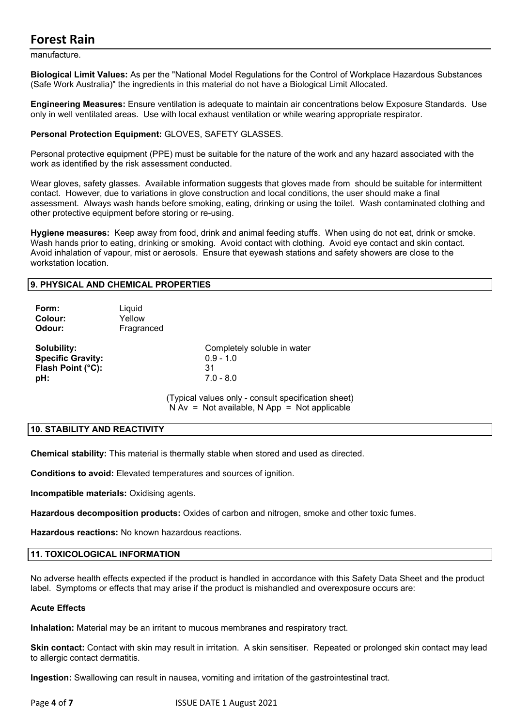manufacture.

**Biological Limit Values:** As per the "National Model Regulations for the Control of Workplace Hazardous Substances (Safe Work Australia)" the ingredients in this material do not have a Biological Limit Allocated.

**Engineering Measures:** Ensure ventilation is adequate to maintain air concentrations below Exposure Standards. Use only in well ventilated areas. Use with local exhaust ventilation or while wearing appropriate respirator.

#### **Personal Protection Equipment:** GLOVES, SAFETY GLASSES.

Personal protective equipment (PPE) must be suitable for the nature of the work and any hazard associated with the work as identified by the risk assessment conducted.

Wear gloves, safety glasses. Available information suggests that gloves made from should be suitable for intermittent contact. However, due to variations in glove construction and local conditions, the user should make a final assessment. Always wash hands before smoking, eating, drinking or using the toilet. Wash contaminated clothing and other protective equipment before storing or re-using.

**Hygiene measures:** Keep away from food, drink and animal feeding stuffs. When using do not eat, drink or smoke. Wash hands prior to eating, drinking or smoking. Avoid contact with clothing. Avoid eye contact and skin contact. Avoid inhalation of vapour, mist or aerosols. Ensure that eyewash stations and safety showers are close to the workstation location.

#### **9. PHYSICAL AND CHEMICAL PROPERTIES**

| Form:<br>Colour:<br>Odour:                                          | Liquid<br>Yellow<br>Fragranced |                                                                                                       |
|---------------------------------------------------------------------|--------------------------------|-------------------------------------------------------------------------------------------------------|
| Solubility:<br><b>Specific Gravity:</b><br>Flash Point (°C):<br>pH: |                                | Completely soluble in water<br>$0.9 - 1.0$<br>31<br>$7.0 - 8.0$                                       |
|                                                                     |                                | (Typical values only - consult specification sheet)<br>$N Av = Not available, N App = Not applicable$ |

#### **10. STABILITY AND REACTIVITY**

**Chemical stability:** This material is thermally stable when stored and used as directed.

**Conditions to avoid:** Elevated temperatures and sources of ignition.

**Incompatible materials:** Oxidising agents.

**Hazardous decomposition products:** Oxides of carbon and nitrogen, smoke and other toxic fumes.

**Hazardous reactions:** No known hazardous reactions.

#### **11. TOXICOLOGICAL INFORMATION**

No adverse health effects expected if the product is handled in accordance with this Safety Data Sheet and the product label. Symptoms or effects that may arise if the product is mishandled and overexposure occurs are:

#### **Acute Effects**

**Inhalation:** Material may be an irritant to mucous membranes and respiratory tract.

**Skin contact:** Contact with skin may result in irritation. A skin sensitiser. Repeated or prolonged skin contact may lead to allergic contact dermatitis.

**Ingestion:** Swallowing can result in nausea, vomiting and irritation of the gastrointestinal tract.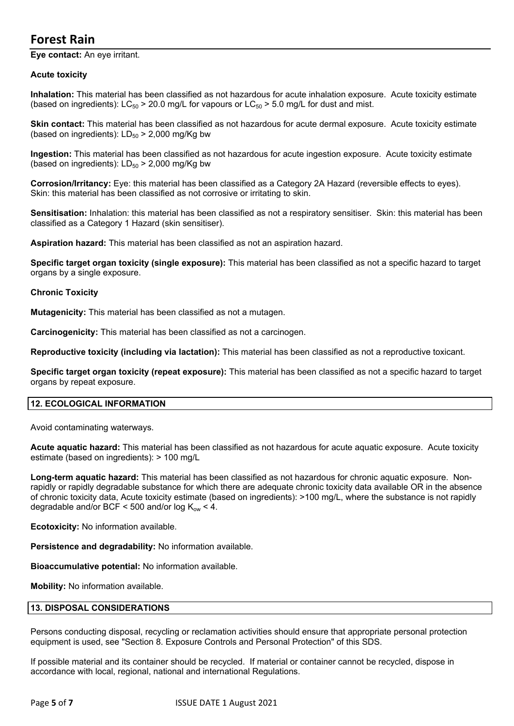**Eye contact:** An eye irritant.

#### **Acute toxicity**

**Inhalation:** This material has been classified as not hazardous for acute inhalation exposure. Acute toxicity estimate (based on ingredients):  $LC_{50}$  > 20.0 mg/L for vapours or  $LC_{50}$  > 5.0 mg/L for dust and mist.

**Skin contact:** This material has been classified as not hazardous for acute dermal exposure. Acute toxicity estimate (based on ingredients):  $LD_{50}$  > 2,000 mg/Kg bw

**Ingestion:** This material has been classified as not hazardous for acute ingestion exposure. Acute toxicity estimate (based on ingredients):  $LD_{50}$  > 2,000 mg/Kg bw

**Corrosion/Irritancy:** Eye: this material has been classified as a Category 2A Hazard (reversible effects to eyes). Skin: this material has been classified as not corrosive or irritating to skin.

**Sensitisation:** Inhalation: this material has been classified as not a respiratory sensitiser. Skin: this material has been classified as a Category 1 Hazard (skin sensitiser).

**Aspiration hazard:** This material has been classified as not an aspiration hazard.

**Specific target organ toxicity (single exposure):** This material has been classified as not a specific hazard to target organs by a single exposure.

#### **Chronic Toxicity**

**Mutagenicity:** This material has been classified as not a mutagen.

**Carcinogenicity:** This material has been classified as not a carcinogen.

**Reproductive toxicity (including via lactation):** This material has been classified as not a reproductive toxicant.

**Specific target organ toxicity (repeat exposure):** This material has been classified as not a specific hazard to target organs by repeat exposure.

#### **12. ECOLOGICAL INFORMATION**

Avoid contaminating waterways.

**Acute aquatic hazard:** This material has been classified as not hazardous for acute aquatic exposure. Acute toxicity estimate (based on ingredients): > 100 mg/L

**Long-term aquatic hazard:** This material has been classified as not hazardous for chronic aquatic exposure. Nonrapidly or rapidly degradable substance for which there are adequate chronic toxicity data available OR in the absence of chronic toxicity data, Acute toxicity estimate (based on ingredients): >100 mg/L, where the substance is not rapidly degradable and/or BCF < 500 and/or log  $K_{\text{ow}}$  < 4.

**Ecotoxicity:** No information available.

**Persistence and degradability:** No information available.

**Bioaccumulative potential:** No information available.

**Mobility:** No information available.

#### **13. DISPOSAL CONSIDERATIONS**

Persons conducting disposal, recycling or reclamation activities should ensure that appropriate personal protection equipment is used, see "Section 8. Exposure Controls and Personal Protection" of this SDS.

If possible material and its container should be recycled. If material or container cannot be recycled, dispose in accordance with local, regional, national and international Regulations.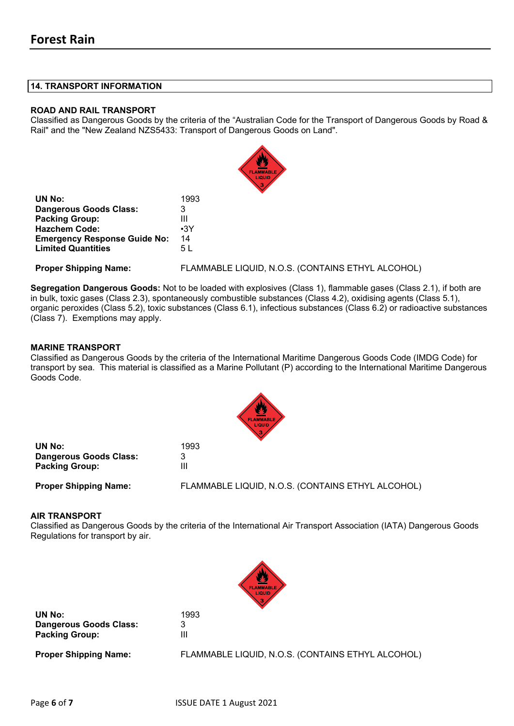#### **14. TRANSPORT INFORMATION**

#### **ROAD AND RAIL TRANSPORT**

Classified as Dangerous Goods by the criteria of the "Australian Code for the Transport of Dangerous Goods by Road & Rail" and the "New Zealand NZS5433: Transport of Dangerous Goods on Land".

|                                     | w<br><b>FLAMMABLE</b><br>LIQUID                   |
|-------------------------------------|---------------------------------------------------|
| <b>UN No:</b>                       | 1993                                              |
| <b>Dangerous Goods Class:</b>       | 3                                                 |
| <b>Packing Group:</b>               | Ш                                                 |
| <b>Hazchem Code:</b>                | $\cdot$ 3Y                                        |
| <b>Emergency Response Guide No:</b> | 14                                                |
| <b>Limited Quantities</b>           | 5 L                                               |
| <b>Proper Shipping Name:</b>        | FLAMMABLE LIQUID, N.O.S. (CONTAINS ETHYL ALCOHOL) |

**Segregation Dangerous Goods:** Not to be loaded with explosives (Class 1), flammable gases (Class 2.1), if both are in bulk, toxic gases (Class 2.3), spontaneously combustible substances (Class 4.2), oxidising agents (Class 5.1), organic peroxides (Class 5.2), toxic substances (Class 6.1), infectious substances (Class 6.2) or radioactive substances (Class 7). Exemptions may apply.

#### **MARINE TRANSPORT**

Classified as Dangerous Goods by the criteria of the International Maritime Dangerous Goods Code (IMDG Code) for transport by sea. This material is classified as a Marine Pollutant (P) according to the International Maritime Dangerous Goods Code.

| <b>FLAMMABLE</b><br><b>LIQUID</b> |
|-----------------------------------|
|                                   |

| UN No:                        | 1993 |
|-------------------------------|------|
| <b>Dangerous Goods Class:</b> | 3    |
| <b>Packing Group:</b>         | Ш    |

**Proper Shipping Name:** FLAMMABLE LIQUID, N.O.S. (CONTAINS ETHYL ALCOHOL)

#### **AIR TRANSPORT**

Classified as Dangerous Goods by the criteria of the International Air Transport Association (IATA) Dangerous Goods Regulations for transport by air.



**UN No:** 1993 **Dangerous Goods Class:** 3 **Packing Group:** III

**Proper Shipping Name:** FLAMMABLE LIQUID, N.O.S. (CONTAINS ETHYL ALCOHOL)